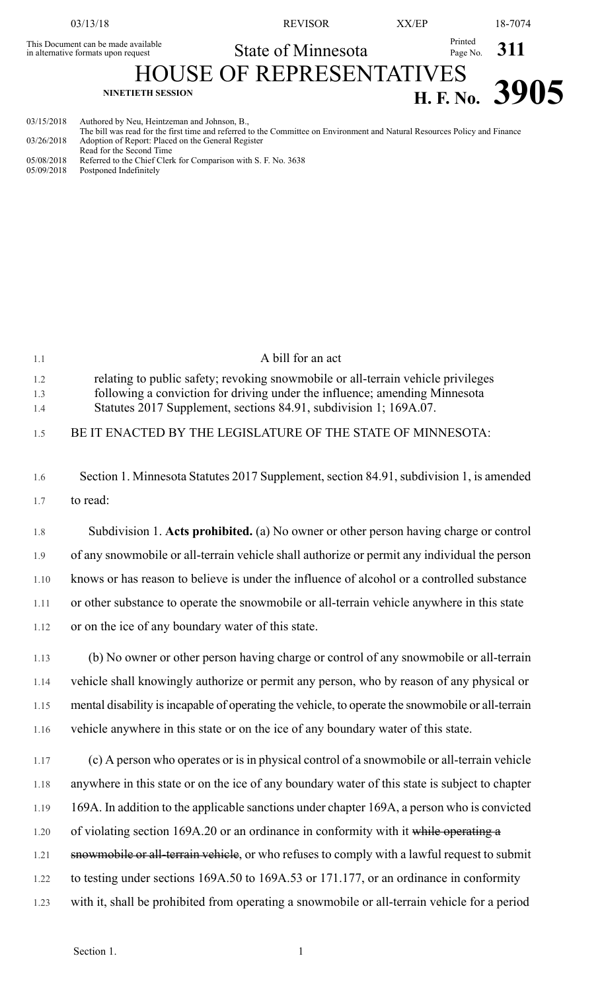| 03/13/18                                                                   |                                              | <b>REVISOR</b>     | XX/EP |                           | 18-7074                     |
|----------------------------------------------------------------------------|----------------------------------------------|--------------------|-------|---------------------------|-----------------------------|
| This Document can be made available<br>in alternative formats upon request |                                              | State of Minnesota |       | Printed<br>Page No. $311$ |                             |
| <b>HOUSE OF REPRESENTATIVES</b>                                            |                                              |                    |       |                           |                             |
| <b>NINETIETH SESSION</b>                                                   |                                              |                    |       |                           | $T_{\text{H. F. No.}}$ 3905 |
| 03/15/2018                                                                 | Authored by Neu, Heintzeman and Johnson, B., |                    |       |                           |                             |

The bill was read for the first time and referred to the Committee on Environment and Natural Resources Policy and Finance 03/26/2018 Adoption of Report: Placed on the General Register Read for the Second Time

05/08/2018 Referred to the Chief Clerk for Comparison with S. F. No. 3638 05/09/2018 Postponed Indefinitely

| 1.1        | A bill for an act                                                                                                                                              |
|------------|----------------------------------------------------------------------------------------------------------------------------------------------------------------|
| 1.2<br>1.3 | relating to public safety; revoking snowmobile or all-terrain vehicle privileges<br>following a conviction for driving under the influence; amending Minnesota |
| 1.4        | Statutes 2017 Supplement, sections 84.91, subdivision 1; 169A.07.                                                                                              |
| 1.5        | BE IT ENACTED BY THE LEGISLATURE OF THE STATE OF MINNESOTA:                                                                                                    |
| 1.6        | Section 1. Minnesota Statutes 2017 Supplement, section 84.91, subdivision 1, is amended                                                                        |
| 1.7        | to read:                                                                                                                                                       |
| 1.8        | Subdivision 1. Acts prohibited. (a) No owner or other person having charge or control                                                                          |
| 1.9        | of any snowmobile or all-terrain vehicle shall authorize or permit any individual the person                                                                   |
| 1.10       | knows or has reason to believe is under the influence of alcohol or a controlled substance                                                                     |
| 1.11       | or other substance to operate the snowmobile or all-terrain vehicle anywhere in this state                                                                     |
| 1.12       | or on the ice of any boundary water of this state.                                                                                                             |
| 1.13       | (b) No owner or other person having charge or control of any snowmobile or all-terrain                                                                         |
| 1.14       | vehicle shall knowingly authorize or permit any person, who by reason of any physical or                                                                       |
| 1.15       | mental disability is incapable of operating the vehicle, to operate the snowmobile or all-terrain                                                              |
| 1.16       | vehicle anywhere in this state or on the ice of any boundary water of this state.                                                                              |
| 1.17       | (c) A person who operates or is in physical control of a snowmobile or all-terrain vehicle                                                                     |
| 1.18       | anywhere in this state or on the ice of any boundary water of this state is subject to chapter                                                                 |
| 1.19       | 169A. In addition to the applicable sanctions under chapter 169A, a person who is convicted                                                                    |
| 1.20       | of violating section 169A.20 or an ordinance in conformity with it while operating a                                                                           |
| 1.21       | snowmobile or all-terrain vehicle, or who refuses to comply with a lawful request to submit                                                                    |
| 1.22       | to testing under sections 169A.50 to 169A.53 or 171.177, or an ordinance in conformity                                                                         |
| 1.23       | with it, shall be prohibited from operating a snowmobile or all-terrain vehicle for a period                                                                   |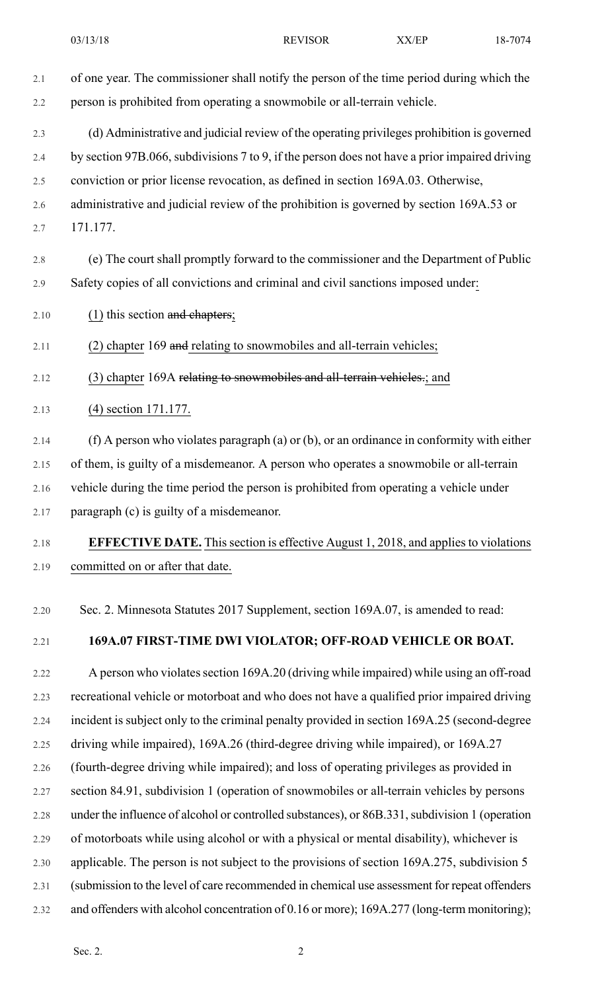2.4 by section 97B.066, subdivisions 7 to 9, if the person does not have a prior impaired driving 2.5 conviction or prior license revocation, as defined in section 169A.03. Otherwise,

- 2.6 administrative and judicial review of the prohibition is governed by section 169A.53 or
- 2.7 171.177.
- 2.8 (e) The court shall promptly forward to the commissioner and the Department of Public 2.9 Safety copies of all convictions and criminal and civil sanctions imposed under:
- 2.10  $(1)$  this section and chapters;
- 2.11 (2) chapter 169 and relating to snowmobiles and all-terrain vehicles;
- 2.12 (3) chapter 169A relating to snowmobiles and all-terrain vehicles.; and
- 2.13 (4) section 171.177.
- 2.14 (f) A person who violates paragraph (a) or (b), or an ordinance in conformity with either 2.15 of them, is guilty of a misdemeanor. A person who operates a snowmobile or all-terrain 2.16 vehicle during the time period the person is prohibited from operating a vehicle under 2.17 paragraph (c) is guilty of a misdemeanor.

## 2.18 **EFFECTIVE DATE.** Thissection is effective August 1, 2018, and appliesto violations 2.19 committed on or after that date.

2.20 Sec. 2. Minnesota Statutes 2017 Supplement, section 169A.07, is amended to read:

## 2.21 **169A.07 FIRST-TIME DWI VIOLATOR; OFF-ROAD VEHICLE OR BOAT.**

2.22 A person who violates section 169A.20 (driving while impaired) while using an off-road 2.23 recreational vehicle or motorboat and who does not have a qualified prior impaired driving 2.24 incident is subject only to the criminal penalty provided in section 169A.25 (second-degree 2.25 driving while impaired), 169A.26 (third-degree driving while impaired), or 169A.27 2.26 (fourth-degree driving while impaired); and loss of operating privileges as provided in 2.27 section 84.91, subdivision 1 (operation of snowmobiles or all-terrain vehicles by persons 2.28 under the influence of alcohol or controlled substances), or 86B.331, subdivision 1 (operation 2.29 of motorboats while using alcohol or with a physical or mental disability), whichever is 2.30 applicable. The person is not subject to the provisions of section 169A.275, subdivision 5 2.31 (submission to the level of care recommended in chemical use assessment for repeat offenders 2.32 and offenders with alcohol concentration of 0.16 or more); 169A.277 (long-term monitoring);